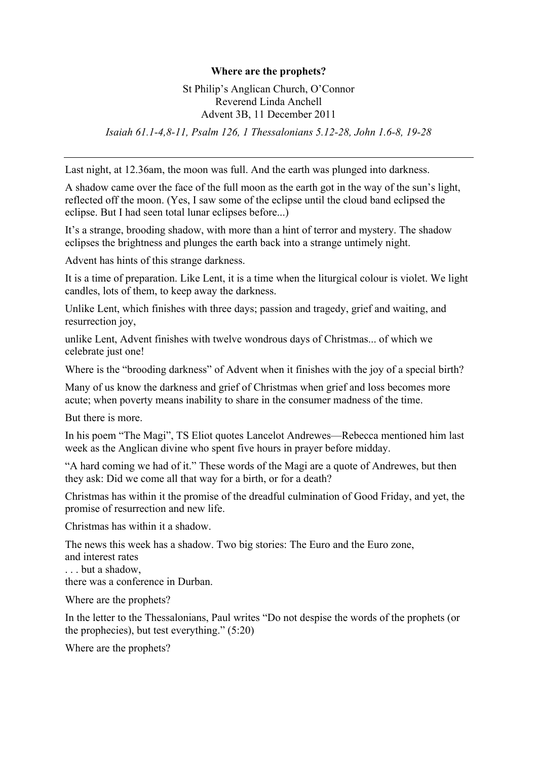## **Where are the prophets?**

St Philip's Anglican Church, O'Connor Reverend Linda Anchell Advent 3B, 11 December 2011

*Isaiah 61.1-4,8-11, Psalm 126, 1 Thessalonians 5.12-28, John 1.6-8, 19-28*

Last night, at 12.36am, the moon was full. And the earth was plunged into darkness.

A shadow came over the face of the full moon as the earth got in the way of the sun's light, reflected off the moon. (Yes, I saw some of the eclipse until the cloud band eclipsed the eclipse. But I had seen total lunar eclipses before...)

It's a strange, brooding shadow, with more than a hint of terror and mystery. The shadow eclipses the brightness and plunges the earth back into a strange untimely night.

Advent has hints of this strange darkness.

It is a time of preparation. Like Lent, it is a time when the liturgical colour is violet. We light candles, lots of them, to keep away the darkness.

Unlike Lent, which finishes with three days; passion and tragedy, grief and waiting, and resurrection joy,

unlike Lent, Advent finishes with twelve wondrous days of Christmas... of which we celebrate just one!

Where is the "brooding darkness" of Advent when it finishes with the joy of a special birth?

Many of us know the darkness and grief of Christmas when grief and loss becomes more acute; when poverty means inability to share in the consumer madness of the time.

But there is more.

In his poem "The Magi", TS Eliot quotes Lancelot Andrewes—Rebecca mentioned him last week as the Anglican divine who spent five hours in prayer before midday.

"A hard coming we had of it." These words of the Magi are a quote of Andrewes, but then they ask: Did we come all that way for a birth, or for a death?

Christmas has within it the promise of the dreadful culmination of Good Friday, and yet, the promise of resurrection and new life.

Christmas has within it a shadow.

The news this week has a shadow. Two big stories: The Euro and the Euro zone, and interest rates

. . . but a shadow,

there was a conference in Durban.

Where are the prophets?

In the letter to the Thessalonians, Paul writes "Do not despise the words of the prophets (or the prophecies), but test everything." (5:20)

Where are the prophets?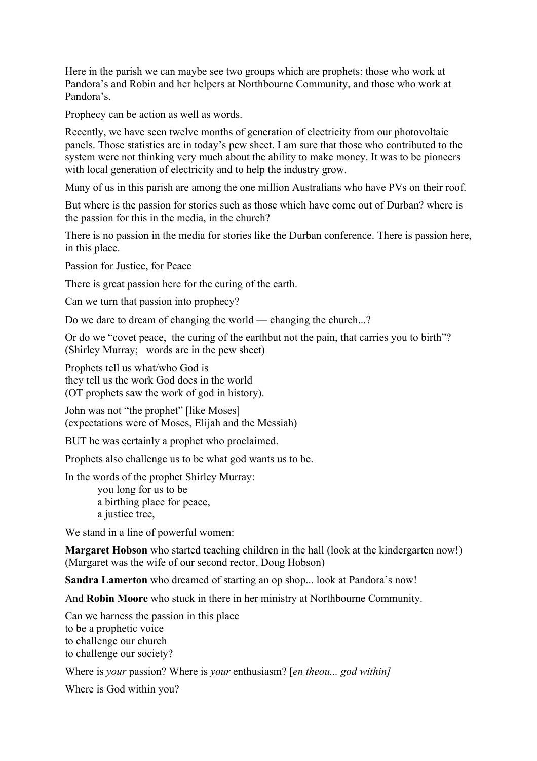Here in the parish we can maybe see two groups which are prophets: those who work at Pandora's and Robin and her helpers at Northbourne Community, and those who work at Pandora's.

Prophecy can be action as well as words.

Recently, we have seen twelve months of generation of electricity from our photovoltaic panels. Those statistics are in today's pew sheet. I am sure that those who contributed to the system were not thinking very much about the ability to make money. It was to be pioneers with local generation of electricity and to help the industry grow.

Many of us in this parish are among the one million Australians who have PVs on their roof.

But where is the passion for stories such as those which have come out of Durban? where is the passion for this in the media, in the church?

There is no passion in the media for stories like the Durban conference. There is passion here, in this place.

Passion for Justice, for Peace

There is great passion here for the curing of the earth.

Can we turn that passion into prophecy?

Do we dare to dream of changing the world — changing the church...?

Or do we "covet peace, the curing of the earthbut not the pain, that carries you to birth"? (Shirley Murray; words are in the pew sheet)

Prophets tell us what/who God is they tell us the work God does in the world (OT prophets saw the work of god in history).

John was not "the prophet" [like Moses] (expectations were of Moses, Elijah and the Messiah)

BUT he was certainly a prophet who proclaimed.

Prophets also challenge us to be what god wants us to be.

In the words of the prophet Shirley Murray:

you long for us to be a birthing place for peace, a justice tree,

We stand in a line of powerful women:

**Margaret Hobson** who started teaching children in the hall (look at the kindergarten now!) (Margaret was the wife of our second rector, Doug Hobson)

**Sandra Lamerton** who dreamed of starting an op shop... look at Pandora's now!

And **Robin Moore** who stuck in there in her ministry at Northbourne Community.

Can we harness the passion in this place to be a prophetic voice to challenge our church to challenge our society?

Where is *your* passion? Where is *your* enthusiasm? [*en theou... god within]*

Where is God within you?